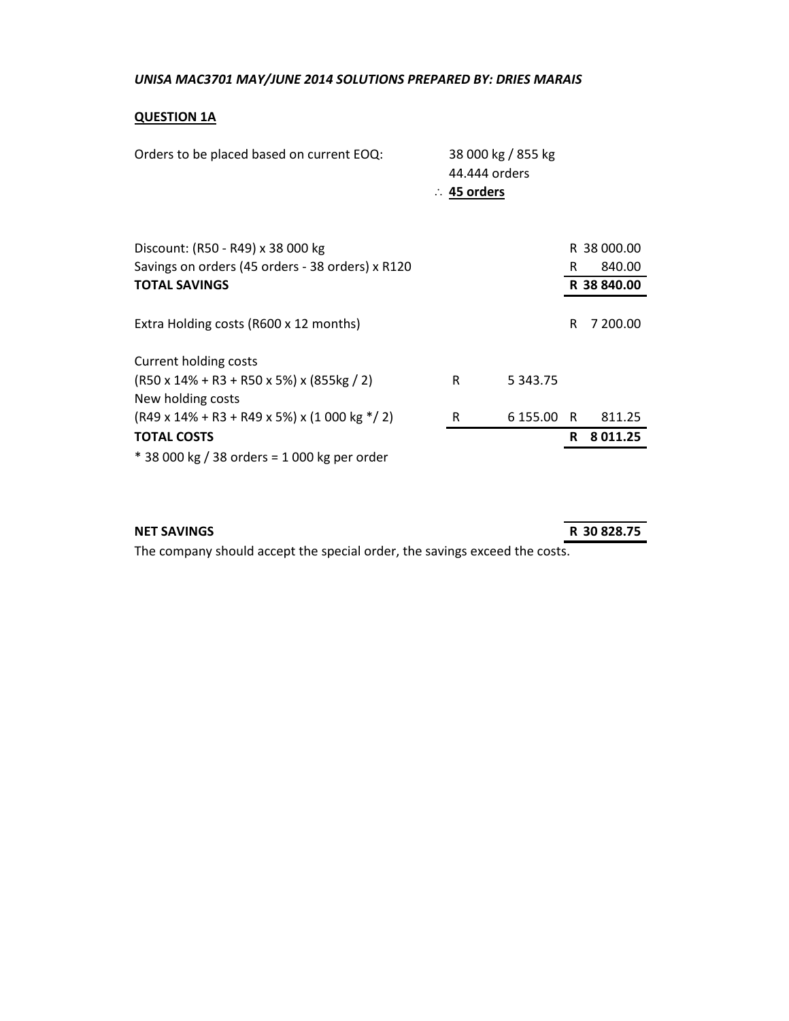## **QUESTION 1A**

| Orders to be placed based on current EOQ:                                            | 44.444 orders<br>$\therefore$ 45 orders | 38 000 kg / 855 kg |     |             |
|--------------------------------------------------------------------------------------|-----------------------------------------|--------------------|-----|-------------|
| Discount: (R50 - R49) x 38 000 kg                                                    |                                         |                    |     | R 38 000.00 |
| Savings on orders (45 orders - 38 orders) x R120                                     |                                         |                    | R.  | 840.00      |
| <b>TOTAL SAVINGS</b>                                                                 |                                         |                    |     | R 38 840.00 |
| Extra Holding costs (R600 x 12 months)                                               |                                         |                    | R   | 7 200.00    |
| Current holding costs                                                                |                                         |                    |     |             |
| $(R50 \times 14\% + R3 + R50 \times 5\%) \times (855 \text{kg} / 2)$                 | R                                       | 5 3 4 3 . 7 5      |     |             |
| New holding costs                                                                    |                                         |                    |     |             |
| $(R49 \times 14\% + R3 + R49 \times 5\%) \times (1000 \text{ kg} \cdot \frac{1}{2})$ | R                                       | 6 155.00           | - R | 811.25      |
| <b>TOTAL COSTS</b>                                                                   |                                         |                    | R   | 8011.25     |
| * 38 000 kg / 38 orders = 1 000 kg per order                                         |                                         |                    |     |             |

## **NET SAVINGS R 30 828.75**

The company should accept the special order, the savings exceed the costs.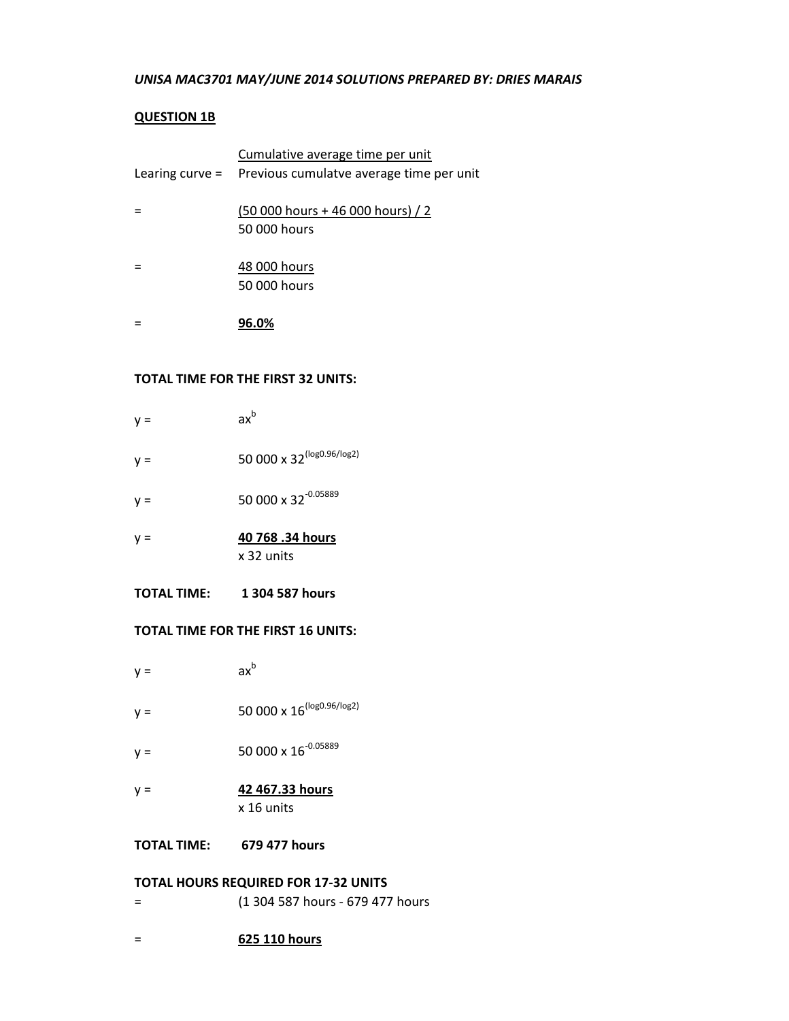## **QUESTION 1B**

| Cumulative average time per unit                         |
|----------------------------------------------------------|
| Learing curve = Previous cumulatve average time per unit |
|                                                          |
| $(50000 \text{ hours} + 46000 \text{ hours})$ / 2        |
| 50 000 hours                                             |
|                                                          |
| 48 000 hours                                             |
| 50 000 hours                                             |
|                                                          |
|                                                          |
| 96.0%                                                    |

## **TOTAL TIME FOR THE FIRST 32 UNITS:**

| y =   | $ax^b$                          |
|-------|---------------------------------|
| $y =$ | 50 000 x 32 (log0.96/log2)      |
| $y =$ | 50 000 x 32 <sup>-0.05889</sup> |
| $y =$ | 40 768 .34 hours<br>x 32 units  |

**TOTAL TIME: 1 304 587 hours**

#### **TOTAL TIME FOR THE FIRST 16 UNITS:**

| $y =$ | $ax^b$                                |
|-------|---------------------------------------|
| $y =$ | 50 000 x 16 <sup>(log0.96/log2)</sup> |
| $y =$ | 50 000 x 16 <sup>-0.05889</sup>       |
| $y =$ | 42 467.33 hours<br>x 16 units         |

**TOTAL TIME: 679 477 hours**

## **TOTAL HOURS REQUIRED FOR 17-32 UNITS**

- = (1 304 587 hours 679 477 hours
- = **625 110 hours**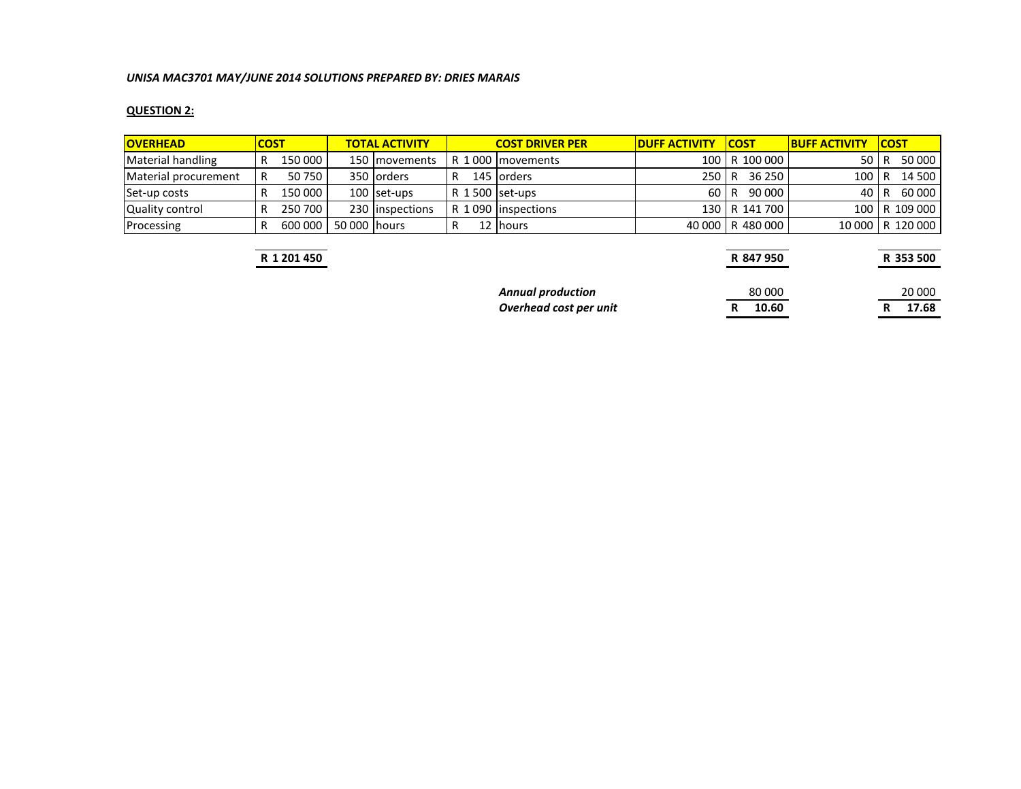## **QUESTION 2:**

| <b>OVERHEAD</b>      | <b>COST</b> |         |              | <b>TOTAL ACTIVITY</b> |   | <b>COST DRIVER PER</b> | <b>DUFF ACTIVITY</b> | <b>ICOST</b>     | <b>BUFF ACTIVITY</b> | <b>ICOST</b>       |
|----------------------|-------------|---------|--------------|-----------------------|---|------------------------|----------------------|------------------|----------------------|--------------------|
| Material handling    |             | 150 000 |              | 150 movements         |   | R 1000   movements     |                      | 100 R 100 000    | 50 LR                | 50 000             |
| Material procurement |             | 50750   |              | 350 lorders           | R | 145 lorders            | 250 R                | 36 250 l         | 100   R              | 14 500             |
| Set-up costs         |             | 150 000 |              | $100$ set-ups         |   | $R1500$ set-ups        | 60 R                 | 90 000           | 40 I R               | 60 000 l           |
| Quality control      |             | 250 700 |              | 230 linspections      |   | R 1090   inspections   |                      | 130   R 141 700  |                      | 100   R 109 000    |
| Processing           |             | 600 000 | 50 000 hours |                       |   | 12 Ihours              |                      | 40 000 R 480 000 |                      | 10 000   R 120 000 |

**R 1 201 450 R 847 950 R 353 500**

**Overhead cost per unit R** 10.60

*Annual production*<br> *Annual production*<br> *A* **10.60**<br> *R* **17.68**<br> *R* **17.68**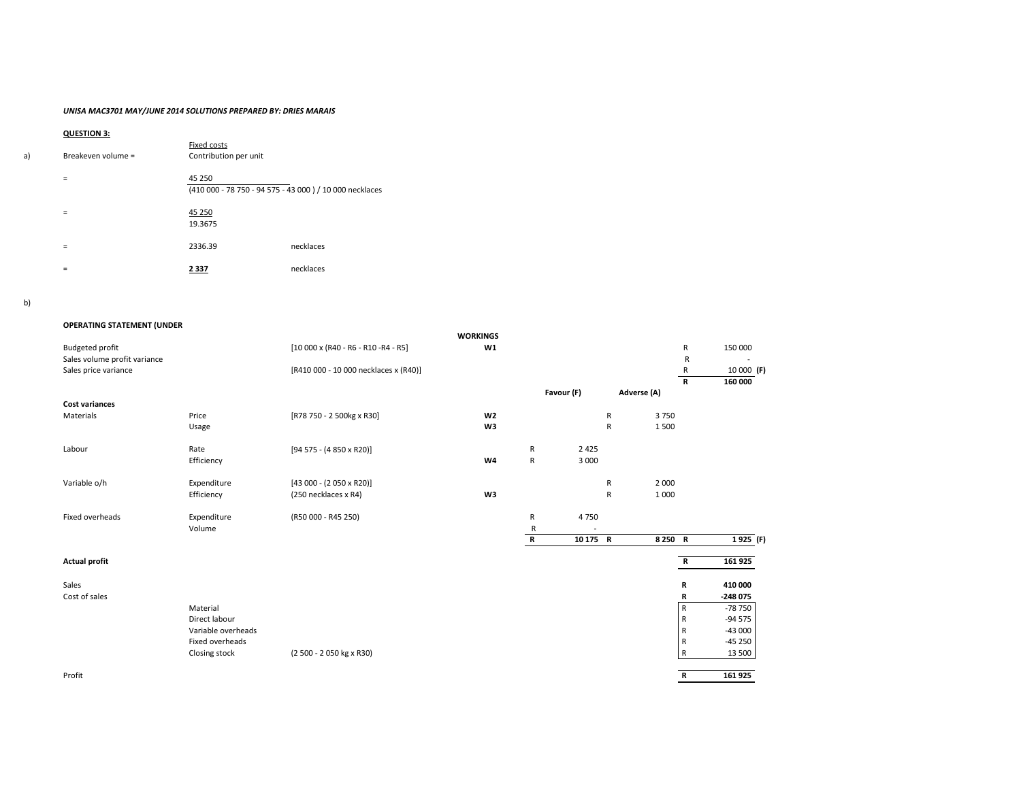## **QUESTION 3:**

| a) | Breakeven volume = | Fixed costs<br>Contribution per unit |                                                          |
|----|--------------------|--------------------------------------|----------------------------------------------------------|
|    | $\equiv$           | 45 250                               | (410 000 - 78 750 - 94 575 - 43 000 ) / 10 000 necklaces |
|    | $=$                | 45 250<br>19.3675                    |                                                          |
|    | $=$                | 2336.39                              | necklaces                                                |
|    | =                  | 2 3 3 7                              | necklaces                                                |

| <b>OPERATING STATEMENT (UNDER</b> |                    |                                             |                 |             |            |              |             |                |            |
|-----------------------------------|--------------------|---------------------------------------------|-----------------|-------------|------------|--------------|-------------|----------------|------------|
|                                   |                    |                                             | <b>WORKINGS</b> |             |            |              |             |                |            |
| <b>Budgeted profit</b>            |                    | $[10000 \times (R40 - R6 - R10 - R4 - R5)]$ | W1              |             |            |              |             | $\mathsf{R}$   | 150 000    |
| Sales volume profit variance      |                    |                                             |                 |             |            |              |             | $\mathsf R$    |            |
| Sales price variance              |                    | [R410 000 - 10 000 necklaces x (R40)]       |                 |             |            |              |             | $\mathsf R$    | 10 000 (F) |
|                                   |                    |                                             |                 |             |            |              |             | $\mathbf R$    | 160 000    |
| <b>Cost variances</b>             |                    |                                             |                 |             | Favour (F) |              | Adverse (A) |                |            |
| Materials                         | Price              | [R78 750 - 2 500kg x R30]                   | W <sub>2</sub>  |             |            | $\mathsf{R}$ | 3750        |                |            |
|                                   | Usage              |                                             | W <sub>3</sub>  |             |            | ${\sf R}$    | 1500        |                |            |
|                                   |                    |                                             |                 |             |            |              |             |                |            |
| Labour                            | Rate               | $[94 575 - (4 850 \times R20)]$             |                 | ${\sf R}$   | 2 4 2 5    |              |             |                |            |
|                                   | Efficiency         |                                             | W <sub>4</sub>  | ${\sf R}$   | 3 0 0 0    |              |             |                |            |
|                                   |                    |                                             |                 |             |            |              |             |                |            |
| Variable o/h                      | Expenditure        | $[43 000 - (2 050 \times R20)]$             |                 |             |            | $\mathsf{R}$ | 2 0 0 0     |                |            |
|                                   | Efficiency         | (250 necklaces x R4)                        | W <sub>3</sub>  |             |            | $\mathsf{R}$ | 1 0 0 0     |                |            |
|                                   |                    |                                             |                 |             |            |              |             |                |            |
| Fixed overheads                   | Expenditure        | (R50 000 - R45 250)                         |                 | ${\sf R}$   | 4750       |              |             |                |            |
|                                   | Volume             |                                             |                 | R           |            |              |             |                |            |
|                                   |                    |                                             |                 | $\mathbf R$ | 10 175 R   |              | 8 250 R     |                | $1925$ (F) |
| <b>Actual profit</b>              |                    |                                             |                 |             |            |              |             | $\overline{R}$ | 161 925    |
| Sales                             |                    |                                             |                 |             |            |              |             | $\mathbf R$    | 410 000    |
| Cost of sales                     |                    |                                             |                 |             |            |              |             | $\mathsf R$    | $-248075$  |
|                                   | Material           |                                             |                 |             |            |              |             | $\overline{R}$ | -78 750    |
|                                   | Direct labour      |                                             |                 |             |            |              |             | $\mathsf{R}$   | $-94575$   |
|                                   | Variable overheads |                                             |                 |             |            |              |             | $\mathsf{R}$   | $-43000$   |
|                                   | Fixed overheads    |                                             |                 |             |            |              |             | $\mathsf{R}$   | $-45250$   |
|                                   | Closing stock      | (2 500 - 2 050 kg x R30)                    |                 |             |            |              |             | $\overline{R}$ | 13 500     |
| Profit                            |                    |                                             |                 |             |            |              |             | $\mathbf R$    | 161 925    |

| 161 925  |
|----------|
|          |
| 410 000  |
| -248 075 |
| -78 750  |
| -94 575  |
| -43 000  |
| -45 250  |
| 13 500   |
|          |
| 161 925  |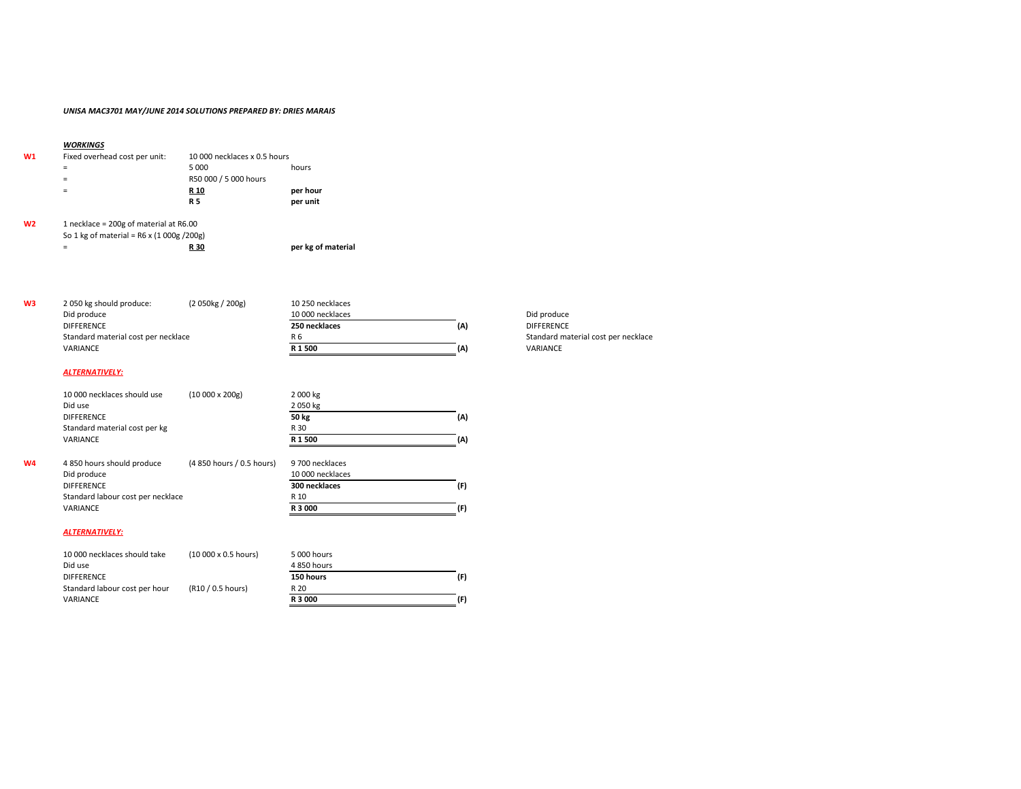|    | <b>WORKINGS</b>                                  |                              |                    |
|----|--------------------------------------------------|------------------------------|--------------------|
| W1 | Fixed overhead cost per unit:                    | 10 000 necklaces x 0.5 hours |                    |
|    | $=$                                              | 5 0 0 0                      | hours              |
|    | $=$                                              | R50 000 / 5 000 hours        |                    |
|    | $=$                                              | R <sub>10</sub>              | per hour           |
|    |                                                  | <b>R5</b>                    | per unit           |
| W2 | 1 necklace = $200g$ of material at R6.00         |                              |                    |
|    | So 1 kg of material = $R6 \times (1000g / 200g)$ |                              |                    |
|    | $=$                                              | R 30                         | per kg of material |
|    |                                                  |                              |                    |

| WЗ | 2 050 kg should produce:            | (2.050kg / 200g) | 10 250 necklaces |     |                    |
|----|-------------------------------------|------------------|------------------|-----|--------------------|
|    | Did produce                         |                  | 10 000 necklaces |     | Did produce        |
|    | <b>DIFFERENCE</b>                   |                  | 250 necklaces    | (A) | <b>DIFFERENCE</b>  |
|    | Standard material cost per necklace |                  | R 6              |     | <b>Standard ma</b> |
|    | VARIANCE                            |                  | R 1 500          | (A) | <b>VARIANCE</b>    |
|    |                                     |                  |                  |     |                    |

## *ALTERNATIVELY:*

|    | 10 000 necklaces should use       | $(10000 \times 200)$               | 2 000 kg         |     |
|----|-----------------------------------|------------------------------------|------------------|-----|
|    | Did use                           |                                    | 2050 kg          |     |
|    | <b>DIFFERENCE</b>                 |                                    | <b>50 kg</b>     | (A) |
|    | Standard material cost per kg     |                                    | R 30             |     |
|    | <b>VARIANCE</b>                   |                                    | R 1 500          | (A) |
| W4 | 4 850 hours should produce        | (4 850 hours / 0.5 hours)          | 9 700 necklaces  |     |
|    | Did produce                       |                                    | 10 000 necklaces |     |
|    | <b>DIFFERENCE</b>                 |                                    | 300 necklaces    | (F) |
|    | Standard labour cost per necklace |                                    | R 10             |     |
|    | <b>VARIANCE</b>                   |                                    | R 3 000          | (F) |
|    | <b>ALTERNATIVELY:</b>             |                                    |                  |     |
|    | 10 000 necklaces should take      | $(10000 \times 0.5 \text{ hours})$ | 5 000 hours      |     |
|    | Did use                           |                                    | 4 850 hours      |     |
|    | <b>DIFFERENCE</b>                 |                                    | 150 hours        | (F) |

VARIANCE **R 3 000 (F)**

Standard labour cost per hour (R10 / 0.5 hours) R 20

Standard material cost per necklace<br>VARIANCE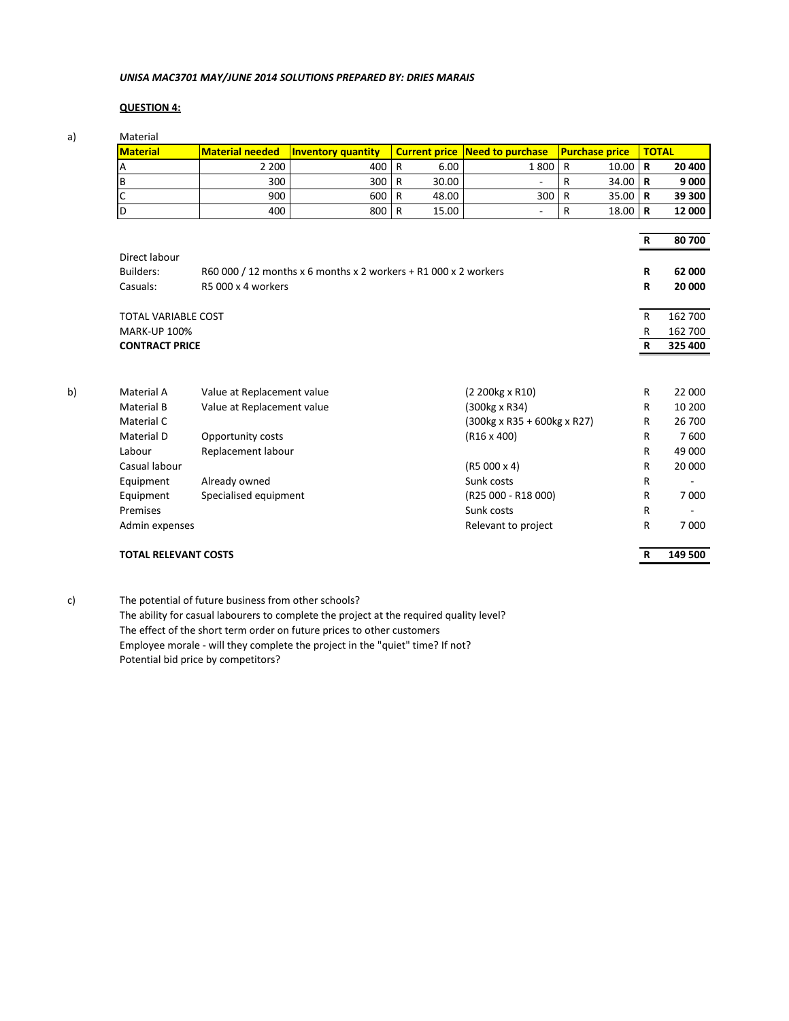## **QUESTION 4:**

| a) | Material<br><b>Material</b>                       | <b>Material needed</b>     | Inventory quantity                                              |                | <b>Current price</b> | <b>Need to purchase</b>                 |              | <b>Purchase price</b> | <b>TOTAL</b>                |         |
|----|---------------------------------------------------|----------------------------|-----------------------------------------------------------------|----------------|----------------------|-----------------------------------------|--------------|-----------------------|-----------------------------|---------|
|    | A                                                 | 2 2 0 0                    | 400                                                             | $\mathsf{R}$   | 6.00                 | 1800                                    | $\mathsf{R}$ | 10.00                 | $\mathbf R$                 | 20 400  |
|    | $\mathsf B$                                       | 300                        | 300                                                             | $\mathsf{R}$   | 30.00                | $\qquad \qquad \blacksquare$            | ${\sf R}$    | 34.00                 | $\mathbf R$                 | 9 0 0 0 |
|    | $\mathsf{C}$                                      | 900                        | 600                                                             | $\overline{R}$ | 48.00                | 300                                     | ${\sf R}$    | 35.00                 | $\mathbf R$                 | 39 300  |
|    | D                                                 | 400                        | 800                                                             | R              | 15.00                | $\overline{\phantom{0}}$                | $\mathsf{R}$ | 18.00                 | $\mathbf R$                 | 12 000  |
|    |                                                   |                            |                                                                 |                |                      |                                         |              |                       |                             |         |
|    |                                                   |                            |                                                                 |                |                      |                                         |              |                       | $\mathbf R$                 | 80 700  |
|    | Direct labour                                     |                            |                                                                 |                |                      |                                         |              |                       |                             |         |
|    | <b>Builders:</b>                                  |                            | R60 000 / 12 months x 6 months x 2 workers + R1 000 x 2 workers |                |                      |                                         |              |                       | $\mathsf R$                 | 62 000  |
|    | Casuals:                                          | R5 000 x 4 workers         |                                                                 |                |                      |                                         |              |                       | R                           | 20 000  |
|    |                                                   |                            |                                                                 |                |                      |                                         |              |                       |                             | 162 700 |
|    | <b>TOTAL VARIABLE COST</b><br><b>MARK-UP 100%</b> |                            |                                                                 |                |                      |                                         |              |                       | $\mathsf{R}$                | 162 700 |
|    | <b>CONTRACT PRICE</b>                             |                            |                                                                 |                |                      |                                         |              |                       | $\mathsf{R}$<br>$\mathbf R$ | 325 400 |
|    |                                                   |                            |                                                                 |                |                      |                                         |              |                       |                             |         |
| b) | Material A                                        | Value at Replacement value |                                                                 |                |                      | (2 200kg x R10)                         |              |                       | $\mathsf{R}$                | 22 000  |
|    | Material B                                        | Value at Replacement value |                                                                 |                |                      | (300kg x R34)                           |              |                       | $\mathsf R$                 | 10 200  |
|    | Material C                                        |                            |                                                                 |                |                      | $(300kg \times R35 + 600kg \times R27)$ |              |                       | $\mathsf{R}$                | 26 700  |
|    | Material D                                        | Opportunity costs          |                                                                 |                |                      | $(R16 \times 400)$                      |              |                       | R                           | 7600    |
|    | Labour                                            | Replacement labour         |                                                                 |                |                      |                                         |              |                       | R                           | 49 000  |
|    | Casual labour                                     |                            |                                                                 |                |                      | $(R5000 \times 4)$                      |              |                       | R                           | 20 000  |
|    | Equipment                                         | Already owned              |                                                                 |                |                      | Sunk costs                              |              |                       | $\mathsf R$                 |         |
|    | Equipment                                         | Specialised equipment      |                                                                 |                |                      | (R25 000 - R18 000)                     |              |                       | R                           | 7 0 0 0 |
|    | Premises                                          |                            |                                                                 |                |                      | Sunk costs                              |              |                       | $\mathsf R$                 |         |
|    | Admin expenses                                    |                            |                                                                 |                |                      | Relevant to project                     |              |                       | $\mathsf{R}$                | 7 0 0 0 |
|    | <b>TOTAL RELEVANT COSTS</b>                       |                            |                                                                 |                |                      |                                         |              |                       | $\mathbf R$                 | 149 500 |

c) The potential of future business from other schools?

The ability for casual labourers to complete the project at the required quality level? The effect of the short term order on future prices to other customers Employee morale - will they complete the project in the "quiet" time? If not? Potential bid price by competitors?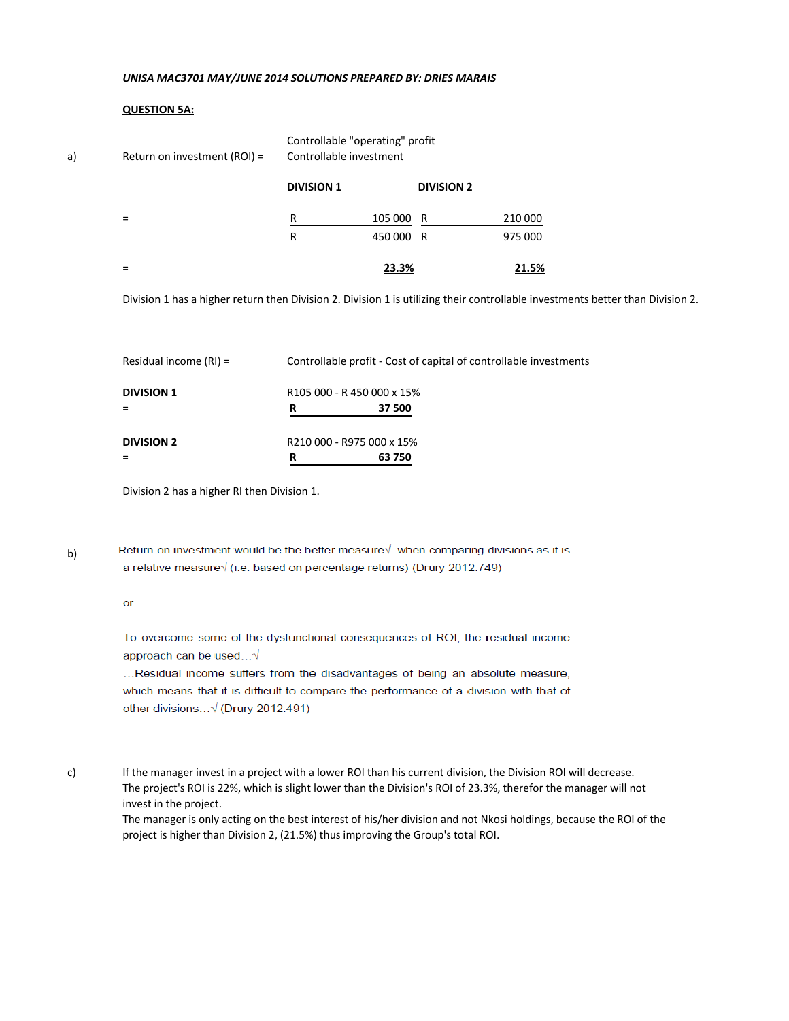## **QUESTION 5A:**

| a) | Return on investment (ROI) = | Controllable "operating" profit<br>Controllable investment |           |                   |         |
|----|------------------------------|------------------------------------------------------------|-----------|-------------------|---------|
|    |                              | <b>DIVISION 1</b>                                          |           | <b>DIVISION 2</b> |         |
|    | $\equiv$                     | R                                                          | 105 000 R |                   | 210 000 |
|    |                              | R                                                          | 450 000 R |                   | 975 000 |
|    | =                            |                                                            | 23.3%     |                   | 21.5%   |

Division 1 has a higher return then Division 2. Division 1 is utilizing their controllable investments better than Division 2.

|                          | R | 63 750                                                            |
|--------------------------|---|-------------------------------------------------------------------|
| <b>DIVISION 2</b>        |   | R210 000 - R975 000 x 15%                                         |
| <b>DIVISION 1</b>        | R | R <sub>105</sub> 000 - R <sub>450</sub> 000 x 15%<br>37 500       |
| Residual income $(RI) =$ |   | Controllable profit - Cost of capital of controllable investments |

Division 2 has a higher RI then Division 1.

b)

Return on investment would be the better measure√ when comparing divisions as it is a relative measure√ (i.e. based on percentage returns) (Drury 2012:749)

#### $or$

To overcome some of the dysfunctional consequences of ROI, the residual income approach can be used...√

...Residual income suffers from the disadvantages of being an absolute measure, which means that it is difficult to compare the performance of a division with that of other divisions...√ (Drury 2012:491)

c) If the manager invest in a project with a lower ROI than his current division, the Division ROI will decrease. The project's ROI is 22%, which is slight lower than the Division's ROI of 23.3%, therefor the manager will not invest in the project.

The manager is only acting on the best interest of his/her division and not Nkosi holdings, because the ROI of the project is higher than Division 2, (21.5%) thus improving the Group's total ROI.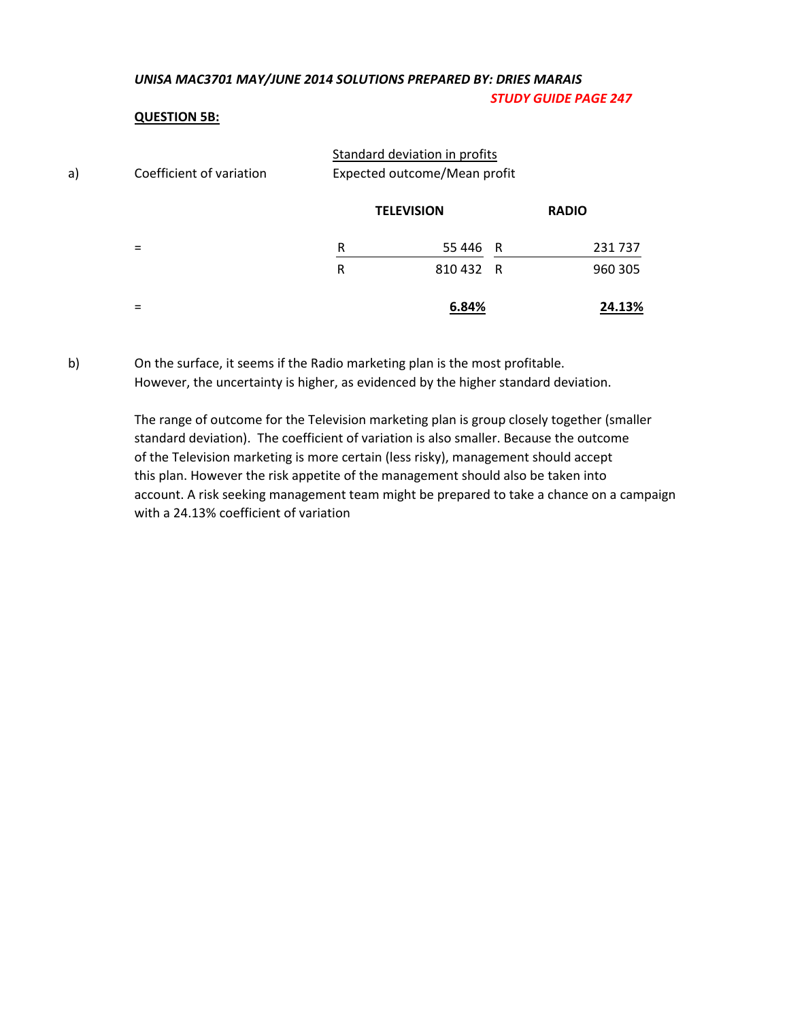## *UNISA MAC3701 MAY/JUNE 2014 SOLUTIONS PREPARED BY: DRIES MARAIS STUDY GUIDE PAGE 247*

## **QUESTION 5B:**

| a) | Coefficient of variation | Standard deviation in profits<br>Expected outcome/Mean profit |         |   |              |
|----|--------------------------|---------------------------------------------------------------|---------|---|--------------|
|    |                          | <b>TELEVISION</b>                                             |         |   | <b>RADIO</b> |
|    | =                        | R                                                             | 55446 R |   | 231 737      |
|    |                          | R                                                             | 810 432 | R | 960 305      |
|    | =                        |                                                               | 6.84%   |   | 24.13%       |

b) On the surface, it seems if the Radio marketing plan is the most profitable. However, the uncertainty is higher, as evidenced by the higher standard deviation.

> The range of outcome for the Television marketing plan is group closely together (smaller standard deviation). The coefficient of variation is also smaller. Because the outcome of the Television marketing is more certain (less risky), management should accept this plan. However the risk appetite of the management should also be taken into account. A risk seeking management team might be prepared to take a chance on a campaign with a 24.13% coefficient of variation